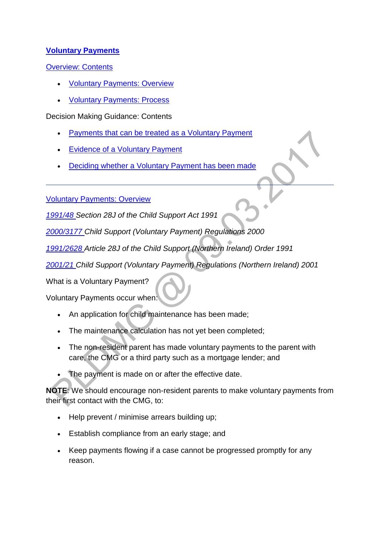# **[Voluntary Payments](http://np-cmg-sharepoint.link2.gpn.gov.uk/sites/policy-law-and-decision-making-guidance/Pages/Voluntary%20Payments/Voluntary-Payments.aspx)**

[Overview: Contents](http://np-cmg-sharepoint.link2.gpn.gov.uk/sites/policy-law-and-decision-making-guidance/Pages/Voluntary%20Payments/Voluntary-Payments.aspx)

- [Voluntary Payments: Overview](http://np-cmg-sharepoint.link2.gpn.gov.uk/sites/policy-law-and-decision-making-guidance/Pages/Voluntary%20Payments/Voluntary-Payments.aspx#OverviewVP)
- [Voluntary Payments: Process](http://np-cmg-sharepoint.link2.gpn.gov.uk/sites/policy-law-and-decision-making-guidance/Pages/Voluntary%20Payments/Voluntary-Payments.aspx#ProcessVP)

Decision Making Guidance: Contents

- [Payments that can be treated as a Voluntary Payment](http://np-cmg-sharepoint.link2.gpn.gov.uk/sites/policy-law-and-decision-making-guidance/Pages/Voluntary%20Payments/Voluntary-Payments.aspx#DMGpaymentsareVP)
- [Evidence of a Voluntary Payment](http://np-cmg-sharepoint.link2.gpn.gov.uk/sites/policy-law-and-decision-making-guidance/Pages/Voluntary%20Payments/Voluntary-Payments.aspx#DMGVPEvidence)
- [Deciding whether a Voluntary Payment has been made](http://np-cmg-sharepoint.link2.gpn.gov.uk/sites/policy-law-and-decision-making-guidance/Pages/Voluntary%20Payments/Voluntary-Payments.aspx#DMGHasPaymentBeenMade)

[Voluntary Payments: Overview](http://np-cmg-sharepoint.link2.gpn.gov.uk/sites/policy-law-and-decision-making-guidance/Pages/Voluntary%20Payments/Voluntary-Payments.aspx) 

*[1991/48 S](http://www.legislation.gov.uk/ukpga/1991/48)ection 28J of the Child Support Act 1991* 

*[2000/3177 C](http://www.legislation.gov.uk/uksi/2000/3177/contents)hild Support (Voluntary Payment) Regulations 2000*

*[1991/2628 A](http://www.legislation.gov.uk/nisi/1991/2628/contents)rticle 28J of the Child Support (Northern Ireland) Order 1991*

*[2001/21 C](http://www.legislation.gov.uk/nisr/2001/21/contents/made)hild Support (Voluntary Payment) Regulations (Northern Ireland) 2001*

What is a Voluntary Payment?

Voluntary Payments occur when:

- An application for child maintenance has been made;
- The maintenance calculation has not yet been completed;
- The non-resident parent has made voluntary payments to the parent with care, the CMG or a third party such as a mortgage lender; and
- The payment is made on or after the effective date.

**NOTE**: We should encourage non-resident parents to make voluntary payments from their first contact with the CMG, to:

- Help prevent / minimise arrears building up;
- Establish compliance from an early stage; and
- Keep payments flowing if a case cannot be progressed promptly for any reason.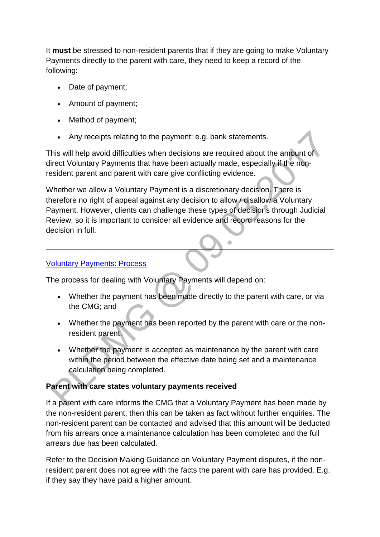It **must** be stressed to non-resident parents that if they are going to make Voluntary Payments directly to the parent with care, they need to keep a record of the following:

- Date of payment;
- Amount of payment:
- Method of payment;
- Any receipts relating to the payment: e.g. bank statements.

This will help avoid difficulties when decisions are required about the amount of direct Voluntary Payments that have been actually made, especially if the nonresident parent and parent with care give conflicting evidence.

Whether we allow a Voluntary Payment is a discretionary decision. There is therefore no right of appeal against any decision to allow / disallow a Voluntary Payment. However, clients can challenge these types of decisions through Judicial Review, so it is important to consider all evidence and record reasons for the decision in full.

#### [Voluntary Payments: Process](http://np-cmg-sharepoint.link2.gpn.gov.uk/sites/policy-law-and-decision-making-guidance/Pages/Voluntary%20Payments/Voluntary-Payments.aspx)

The process for dealing with Voluntary Payments will depend on:

- Whether the payment has been made directly to the parent with care, or via the CMG; and
- Whether the payment has been reported by the parent with care or the nonresident parent.
- Whether the payment is accepted as maintenance by the parent with care within the period between the effective date being set and a maintenance calculation being completed.

# **Parent with care states voluntary payments received**

If a parent with care informs the CMG that a Voluntary Payment has been made by the non-resident parent, then this can be taken as fact without further enquiries. The non-resident parent can be contacted and advised that this amount will be deducted from his arrears once a maintenance calculation has been completed and the full arrears due has been calculated.

Refer to the Decision Making Guidance on Voluntary Payment disputes, if the nonresident parent does not agree with the facts the parent with care has provided. E.g. if they say they have paid a higher amount.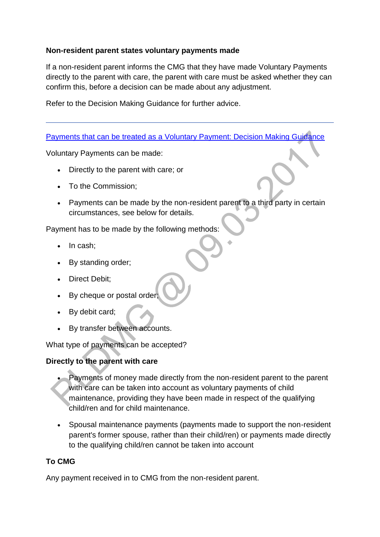#### **Non-resident parent states voluntary payments made**

If a non-resident parent informs the CMG that they have made Voluntary Payments directly to the parent with care, the parent with care must be asked whether they can confirm this, before a decision can be made about any adjustment.

Refer to the Decision Making Guidance for further advice.

### [Payments that can be treated as a Voluntary Payment: Decision Making Guidance](http://np-cmg-sharepoint.link2.gpn.gov.uk/sites/policy-law-and-decision-making-guidance/Pages/Voluntary%20Payments/Voluntary-Payments.aspx)

Voluntary Payments can be made:

- Directly to the parent with care; or
- To the Commission:
- Payments can be made by the non-resident parent to a third party in certain circumstances, see below for details.

Payment has to be made by the following methods:

- In cash;
- By standing order;
- Direct Debit:
- By cheque or postal order;
- By debit card;
- By transfer between accounts.

What type of payments can be accepted?

#### **Directly to the parent with care**

- Payments of money made directly from the non-resident parent to the parent with care can be taken into account as voluntary payments of child maintenance, providing they have been made in respect of the qualifying child/ren and for child maintenance.
- Spousal maintenance payments (payments made to support the non-resident parent's former spouse, rather than their child/ren) or payments made directly to the qualifying child/ren cannot be taken into account

# **To CMG**

Any payment received in to CMG from the non-resident parent.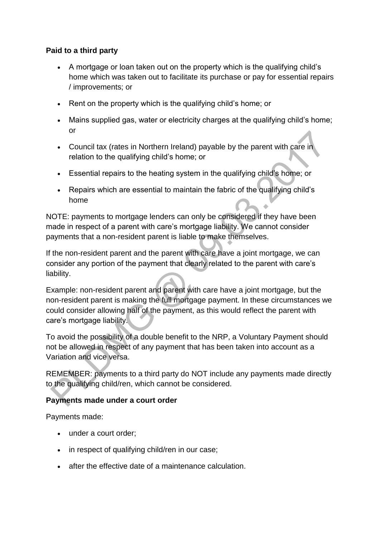### **Paid to a third party**

- A mortgage or loan taken out on the property which is the qualifying child's home which was taken out to facilitate its purchase or pay for essential repairs / improvements; or
- Rent on the property which is the qualifying child's home; or
- Mains supplied gas, water or electricity charges at the qualifying child's home; or
- Council tax (rates in Northern Ireland) payable by the parent with care in relation to the qualifying child's home; or
- Essential repairs to the heating system in the qualifying child's home; or
- Repairs which are essential to maintain the fabric of the qualifying child's home

NOTE: payments to mortgage lenders can only be considered if they have been made in respect of a parent with care's mortgage liability. We cannot consider payments that a non-resident parent is liable to make themselves.

If the non-resident parent and the parent with care have a joint mortgage, we can consider any portion of the payment that clearly related to the parent with care's liability.

Example: non-resident parent and parent with care have a joint mortgage, but the non-resident parent is making the full mortgage payment. In these circumstances we could consider allowing half of the payment, as this would reflect the parent with care's mortgage liability.

To avoid the possibility of a double benefit to the NRP, a Voluntary Payment should not be allowed in respect of any payment that has been taken into account as a Variation and vice versa.

REMEMBER: payments to a third party do NOT include any payments made directly to the qualifying child/ren, which cannot be considered.

# **Payments made under a court order**

Payments made:

- under a court order;
- in respect of qualifying child/ren in our case;
- after the effective date of a maintenance calculation.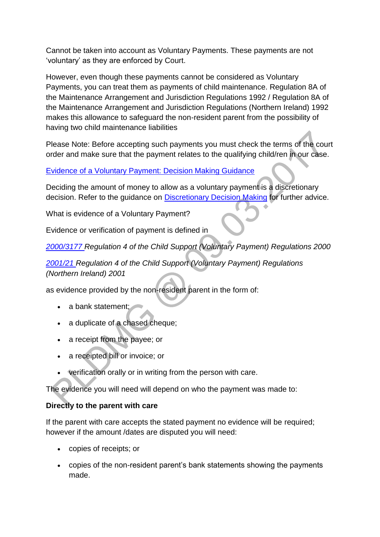Cannot be taken into account as Voluntary Payments. These payments are not 'voluntary' as they are enforced by Court.

However, even though these payments cannot be considered as Voluntary Payments, you can treat them as payments of child maintenance. Regulation 8A of the Maintenance Arrangement and Jurisdiction Regulations 1992 / Regulation 8A of the Maintenance Arrangement and Jurisdiction Regulations (Northern Ireland) 1992 makes this allowance to safeguard the non-resident parent from the possibility of having two child maintenance liabilities

Please Note: Before accepting such payments you must check the terms of the court order and make sure that the payment relates to the qualifying child/ren in our case.

[Evidence of a Voluntary Payment: Decision Making Guidance](http://np-cmg-sharepoint.link2.gpn.gov.uk/sites/policy-law-and-decision-making-guidance/Pages/Voluntary%20Payments/Voluntary-Payments.aspx)

Deciding the amount of money to allow as a voluntary payment is a discretionary decision. Refer to the guidance on [Discretionary Decision Making](http://np-cmg-sharepoint.link2.gpn.gov.uk/sites/policy-law-and-decision-making-guidance/Pages/Evidence%20and%20decision%20making/Evidence-and-decision-making.aspx) for further advice.

What is evidence of a Voluntary Payment?

Evidence or verification of payment is defined in

*[2000/3177 R](http://www.legislation.gov.uk/uksi/2000/3177/contents)egulation 4 of the Child Support (Voluntary Payment) Regulations 2000* 

*[2001/21 R](http://www.legislation.gov.uk/nisr/2001/21/contents/made)egulation 4 of the Child Support (Voluntary Payment) Regulations (Northern Ireland) 2001* 

as evidence provided by the non-resident parent in the form of:

- $\bullet$  a bank statement;
- a duplicate of a chased cheque;
- a receipt from the payee; or
- a receipted bill or invoice; or
- verification orally or in writing from the person with care.

The evidence you will need will depend on who the payment was made to:

#### **Directly to the parent with care**

If the parent with care accepts the stated payment no evidence will be required; however if the amount /dates are disputed you will need:

- copies of receipts; or
- copies of the non-resident parent's bank statements showing the payments made.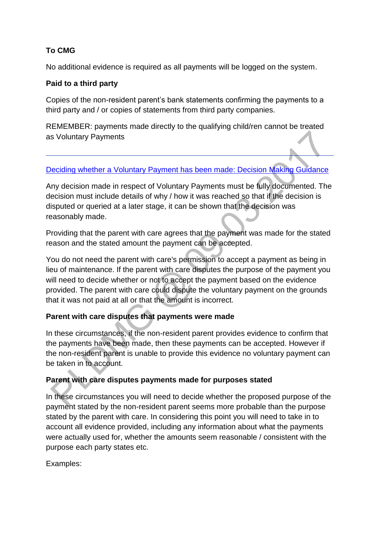# **To CMG**

No additional evidence is required as all payments will be logged on the system.

### **Paid to a third party**

Copies of the non-resident parent's bank statements confirming the payments to a third party and / or copies of statements from third party companies.

REMEMBER: payments made directly to the qualifying child/ren cannot be treated as Voluntary Payments

### [Deciding whether a Voluntary Payment has been made: Decision Making Guidance](http://np-cmg-sharepoint.link2.gpn.gov.uk/sites/policy-law-and-decision-making-guidance/Pages/Voluntary%20Payments/Voluntary-Payments.aspx)

Any decision made in respect of Voluntary Payments must be fully documented. The decision must include details of why / how it was reached so that if the decision is disputed or queried at a later stage, it can be shown that the decision was reasonably made.

Providing that the parent with care agrees that the payment was made for the stated reason and the stated amount the payment can be accepted.

You do not need the parent with care's permission to accept a payment as being in lieu of maintenance. If the parent with care disputes the purpose of the payment you will need to decide whether or not to accept the payment based on the evidence provided. The parent with care could dispute the voluntary payment on the grounds that it was not paid at all or that the amount is incorrect.

# **Parent with care disputes that payments were made**

In these circumstances, if the non-resident parent provides evidence to confirm that the payments have been made, then these payments can be accepted. However if the non-resident parent is unable to provide this evidence no voluntary payment can be taken in to account.

#### **Parent with care disputes payments made for purposes stated**

In these circumstances you will need to decide whether the proposed purpose of the payment stated by the non-resident parent seems more probable than the purpose stated by the parent with care. In considering this point you will need to take in to account all evidence provided, including any information about what the payments were actually used for, whether the amounts seem reasonable / consistent with the purpose each party states etc.

Examples: